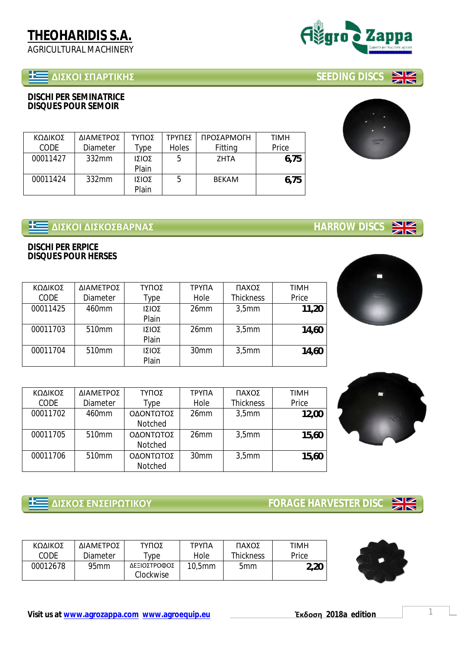# **ȴȻɇȾɃȻɇɅȰɆɈȻȾȸɇ SEEDING DISCS**

**DISCHI PER SEMINATRICE DISQUES POUR SEMOIR**

| ΚΩΔΙΚΟΣ     | ΔΙΑΜΕΤΡΟΣ | ΤΥΠΟΣ | ΤΡΥΠΕΣ       | ΠΡΟΣΑΡΜΟΓΗ   | TIMH  |
|-------------|-----------|-------|--------------|--------------|-------|
| <b>CODE</b> | Diameter  | ™уре  | <b>Holes</b> | Fitting      | Price |
| 00011427    | 332mm     | ΙΣΙΟΣ | 5            | <b>ZHTA</b>  | 6.75  |
|             |           | Plain |              |              |       |
| 00011424    | 332mm     | ΙΣΙΟΣ | 5            | <b>BEKAM</b> | 6.75  |
|             |           | Plain |              |              |       |

## **E ΔΙΣΚΟΙ ΔΙΣΚΟΣΒΑΡΝΑΣ**<br><u>ΓΙΔΙΣΚΟΙ ΔΙΣΚΟΣΒΑΡΝΑΣ</u>

**DISCHI PER ERPICE DISQUES POUR HERSES**

| ΚΩΔΙΚΟΣ  | ΔΙΑΜΕΤΡΟΣ         | ΤΥΠΟΣ | ΤΡΥΠΑ            | ΠΑΧΟΣ            | <b>TIMH</b> |
|----------|-------------------|-------|------------------|------------------|-------------|
| CODE     | Diameter          | Type  | Hole             | <b>Thickness</b> | Price       |
| 00011425 | 460mm             | ΙΣΙΟΣ | 26 <sub>mm</sub> | 3.5mm            | 11,20       |
|          |                   | Plain |                  |                  |             |
| 00011703 | 510 <sub>mm</sub> | ΙΣΙΟΣ | 26 <sub>mm</sub> | 3.5mm            | 14,60       |
|          |                   | Plain |                  |                  |             |
| 00011704 | 510 <sub>mm</sub> | ΙΣΙΟΣ | 30mm             | 3.5mm            | 14,60       |
|          |                   | Plain |                  |                  |             |

| ΚΩΔΙΚΟΣ  | ΔΙΑΜΕΤΡΟΣ         | ΤΥΠΟΣ     | ΤΡΥΠΑ            | ΠΑΧΟΣ             | <b>TIMH</b> |
|----------|-------------------|-----------|------------------|-------------------|-------------|
| CODE     | Diameter          | Type      | Hole             | <b>Thickness</b>  | Price       |
| 00011702 | 460mm             | ΟΔΟΝΤΩΤΟΣ | 26 <sub>mm</sub> | 3.5 <sub>mm</sub> | 12,00       |
|          |                   | Notched   |                  |                   |             |
| 00011705 | 510 <sub>mm</sub> | ΟΔΟΝΤΩΤΟΣ | 26 <sub>mm</sub> | 3.5 <sub>mm</sub> | 15,60       |
|          |                   | Notched   |                  |                   |             |
| 00011706 | 510 <sub>mm</sub> | ΟΔΟΝΤΩΤΟΣ | 30 <sub>mm</sub> | 3.5 <sub>mm</sub> | 15,60       |
|          |                   | Notched   |                  |                   |             |

 **ȴȻɇȾɃɇȵɁɇȵȻɆɏɈȻȾɃɉ FORAGE HARVESTER DISC** 

| ΚΩΔΙΚΟΣ  | ΔΙΑΜΕΤΡΟΣ        | ΤΥΠΟΣ                     | ΤΡΥΠΑ     | ΠΑΧΟΣ           | TIMH  |
|----------|------------------|---------------------------|-----------|-----------------|-------|
| CODE     | Diameter         | ype                       | Hole      | Thickness       | Price |
| 00012678 | 95 <sub>mm</sub> | ΔΕΞΙΟΣΤΡΟΦΟΣ<br>Clockwise | $10,5$ mm | 5 <sub>mm</sub> | 2,20  |





 $NZ$  $\overline{\mathbb{Z}}$ 







 $\frac{N}{N}$ 

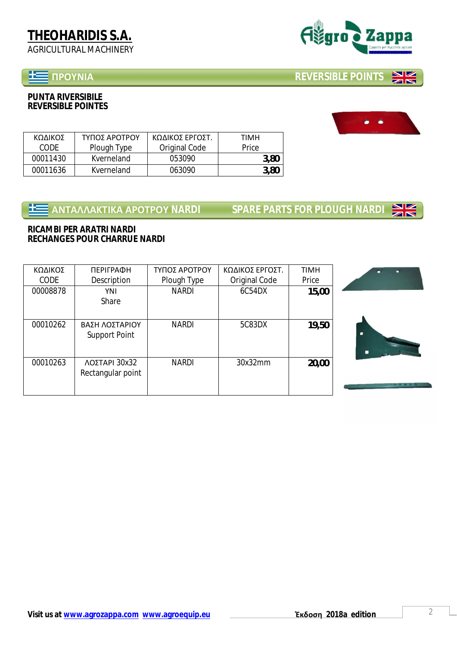## **ɅɆɃɉɁȻȰ REVERSIBLE POINTS**

**PUNTA RIVERSIBILE REVERSIBLE POINTES**



| 00008878 | YNI<br>Share                           | <b>NARDI</b> | 6C54DX  | 15,00 |
|----------|----------------------------------------|--------------|---------|-------|
| 00010262 | ΒΑΣΗ ΛΟΣΤΑΡΙΟΥ<br><b>Support Point</b> | <b>NARDI</b> | 5C83DX  | 19,50 |
| 00010263 | ΛΟΣΤΑΡΙ 30x32<br>Rectangular point     | <b>NARDI</b> | 30x32mm | 20,00 |

**E ANTANAKTIKA APOTPOY NARDI SPARE PARTS FOR PLOUGH NARDI** 

**RICAMBI PER ARATRI NARDI RECHANGES POUR CHARRUE NARDI**

| ΚΟΛΙΚΟΣ  | ΤΥΠΟΣ ΑΡΟΤΡΟΥ | ΚΩΔΙΚΟΣ ΕΡΓΟΣΤ. | TIMH  |
|----------|---------------|-----------------|-------|
| CODE     | Plough Type   | Original Code   | Price |
| 00011430 | Kverneland    | 053090          | 3,80  |
| 00011636 | Kverneland    | 063090          | 3,80  |







**TIMH** Price





**NZ** ZIN

**NK**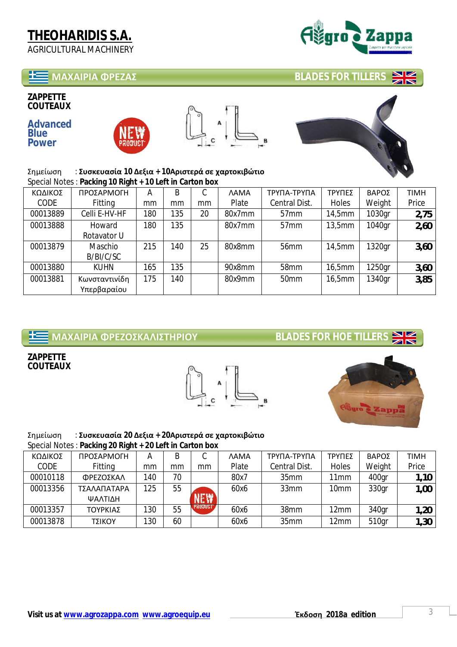### **ɀȰɍȰȻɆȻȰɌɆȵȷȰɇ BLADES FOR TILLERS**

**ZAPPETTE COUTEAUX** 

**Advanced Blue Power** 







**NIZ** 

 $Σημείωση : Συσκευασία 10 Δεξια + 10Αριστερά σε χαρτοκιβώτιο$ Special Notes : **Packing 10 Right + 10 Left in Carton box**

| ΚΩΔΙΚΟΣ     | ΠΡΟΣΑΡΜΟΓΗ    | А   | B   | ⌒<br>U | <b>AMA</b> | ΤΡΥΠΑ-ΤΡΥΠΑ      | ΤΡΥΠΕΣ | ΒΑΡΟΣ  | TIMH  |
|-------------|---------------|-----|-----|--------|------------|------------------|--------|--------|-------|
| <b>CODE</b> | Fitting       | mm  | mm  | mm     | Plate      | Central Dist.    | Holes  | Weight | Price |
| 00013889    | Celli E-HV-HF | 180 | 135 | 20     | 80x7mm     | 57 <sub>mm</sub> | 14,5mm | 1030gr | 2,75  |
| 00013888    | Howard        | 180 | 135 |        | 80x7mm     | 57 <sub>mm</sub> | 13,5mm | 1040gr | 2,60  |
|             | Rotavator U   |     |     |        |            |                  |        |        |       |
| 00013879    | Maschio       | 215 | 140 | 25     | 80x8mm     | 56 <sub>mm</sub> | 14,5mm | 1320gr | 3,60  |
|             | B/BI/C/SC     |     |     |        |            |                  |        |        |       |
| 00013880    | <b>KUHN</b>   | 165 | 135 |        | 90x8mm     | 58mm             | 16,5mm | 1250gr | 3,60  |
| 00013881    | Κωνσταντινίδη | 175 | 140 |        | 80x9mm     | 50 <sub>mm</sub> | 16,5mm | 1340gr | 3,85  |
|             | Υπερβαραίου   |     |     |        |            |                  |        |        |       |

# **<u>+ </u>WE ΜΑΧΑΙΡΙΑ ΦΡΕΖΟΣΚΑΛΙΣΤΗΡΙΟΥ**<br> **ΔΕΙ**

**NZ**  $\times$ 

**ZAPPETTE COUTEAUX** 





## Σημείωση : Συσκευασία 20 Δεξια + 20Αριστερά σε χαρτοκιβώτιο

Special Notes : **Packing 20 Right + 20 Left in Carton box**

|          | $\cdot$ $\cdot$<br>ີ |     |    |            |       |               |        |        |       |
|----------|----------------------|-----|----|------------|-------|---------------|--------|--------|-------|
| ΚΩΔΙΚΟΣ  | ΠΡΟΣΑΡΜΟΓΗ           | А   | B  |            | ΛAMA  | ΤΡΥΠΑ-ΤΡΥΠΑ   | ΤΡΥΠΕΣ | ΒΑΡΟΣ  | TIMH  |
| CODE     | Fitting              | mm  | mm | mm         | Plate | Central Dist. | Holes  | Weight | Price |
| 00010118 | ΦΡΕΖΟΣΚΑΛ            | 140 | 70 |            | 80x7  | 35mm          | 11mm   | 400gr  | 1,10  |
| 00013356 | ΤΣΑΛΑΠΑΤΑΡΑ          | 125 | 55 |            | 60x6  | 33mm          | 10mm   | 330gr  | 1,00  |
|          | ΨΑΛΤΙΔΗ              |     |    | <b>NEW</b> |       |               |        |        |       |
| 00013357 | ΤΟΥΡΚΙΑΣ             | 130 | 55 | PRODUCT    | 60x6  | 38mm          | 12mm   | 340gr  | 1,20  |
| 00013878 | ΤΣΙΚΟΥ               | 130 | 60 |            | 60x6  | 35mm          | 12mm   | 510gr  | 1,30  |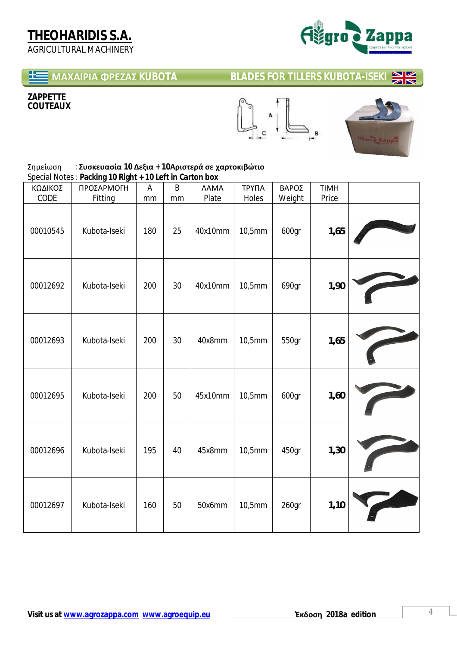

#### **ɀȰɍȰȻɆȻȰɌɆȵȷȰɇ KUBOTA BLADES FOR TILLERS KUBOTA-ISEKI**   $\mathbf{N}$

### **ZAPPETTE COUTEAUX**





#### $Σημείωση : Συσκευασία 10 Δεξια + 10 Αριστερά σε χαρτοκιβώτιο$ Special Notes : **Packing 10 Right + 10 Left in Carton box**

| ΚΩΔΙΚΟΣ<br>CODE | $\frac{1}{2}$ because the contracted in the contracted by $\frac{1}{2}$<br>ΠΡΟΣΑΡΜΟΓΗ<br>Fitting | A<br>mm | B<br>mm | <b>AAMA</b><br>Plate | ΤΡΥΠΑ<br>Holes | ΒΑΡΟΣ<br>Weight | <b>TIMH</b><br>Price |  |
|-----------------|--------------------------------------------------------------------------------------------------|---------|---------|----------------------|----------------|-----------------|----------------------|--|
| 00010545        | Kubota-Iseki                                                                                     | 180     | 25      | 40x10mm              | 10,5mm         | 600gr           | 1,65                 |  |
| 00012692        | Kubota-Iseki                                                                                     | 200     | 30      | 40x10mm              | 10,5mm         | 690gr           | 1,90                 |  |
| 00012693        | Kubota-Iseki                                                                                     | 200     | 30      | 40x8mm               | 10,5mm         | 550gr           | 1,65                 |  |
| 00012695        | Kubota-Iseki                                                                                     | 200     | 50      | 45x10mm              | 10,5mm         | 600gr           | 1,60                 |  |
| 00012696        | Kubota-Iseki                                                                                     | 195     | 40      | 45x8mm               | 10,5mm         | 450gr           | 1,30                 |  |
| 00012697        | Kubota-Iseki                                                                                     | 160     | 50      | 50x6mm               | 10,5mm         | 260gr           | 1,10                 |  |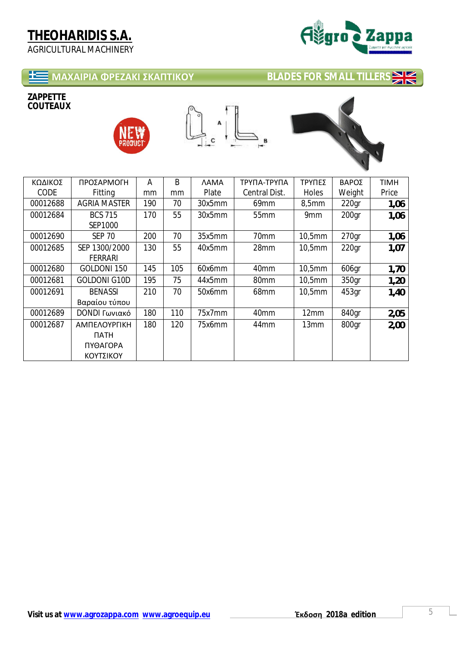

# **MAXAIPIA ΦΡΕΖΑΚΙ ΣΚΑΠΤΙΚΟΥ** ΒLADES FOR SMALL TILLERS →

#### **ZAPPETTE COUTEAUX**







| ΚΩΔΙΚΟΣ  | ΠΡΟΣΑΡΜΟΓΗ          | A   | B   | <b>AAMA</b> | ΤΡΥΠΑ-ΤΡΥΠΑ      | ΤΡΥΠΕΣ | ΒΑΡΟΣ             | <b>TIMH</b> |
|----------|---------------------|-----|-----|-------------|------------------|--------|-------------------|-------------|
| CODE     | Fitting             | mm  | mm  | Plate       | Central Dist.    | Holes  | Weight            | Price       |
| 00012688 | <b>AGRIA MASTER</b> | 190 | 70  | 30x5mm      | 69mm             | 8,5mm  | 220 <sub>gr</sub> | 1,06        |
| 00012684 | <b>BCS 715</b>      | 170 | 55  | 30x5mm      | 55 <sub>mm</sub> | 9mm    | 200 <sub>qr</sub> | 1,06        |
|          | SEP1000             |     |     |             |                  |        |                   |             |
| 00012690 | <b>SEP 70</b>       | 200 | 70  | 35x5mm      | 70mm             | 10,5mm | 270 <sub>qr</sub> | 1,06        |
| 00012685 | SEP 1300/2000       | 130 | 55  | 40x5mm      | 28mm             | 10,5mm | 220 <sub>qr</sub> | 1,07        |
|          | <b>FERRARI</b>      |     |     |             |                  |        |                   |             |
| 00012680 | GOLDONI 150         | 145 | 105 | 60x6mm      | 40mm             | 10,5mm | 606qr             | 1,70        |
| 00012681 | <b>GOLDONI G10D</b> | 195 | 75  | 44x5mm      | 80mm             | 10,5mm | 350gr             | 1,20        |
| 00012691 | <b>BENASSI</b>      | 210 | 70  | 50x6mm      | 68mm             | 10,5mm | 453gr             | 1,40        |
|          | Βαραίου τύπου       |     |     |             |                  |        |                   |             |
| 00012689 | DONDI Γωνιακό       | 180 | 110 | 75x7mm      | 40 <sub>mm</sub> | 12mm   | 840gr             | 2,05        |
| 00012687 | ΑΜΠΕΛΟΥΡΓΙΚΗ        | 180 | 120 | 75x6mm      | 44mm             | 13mm   | 800gr             | 2,00        |
|          | <b>NATH</b>         |     |     |             |                  |        |                   |             |
|          | ΠΥΘΑΓΟΡΑ            |     |     |             |                  |        |                   |             |
|          | ΚΟΥΤΣΙΚΟΥ           |     |     |             |                  |        |                   |             |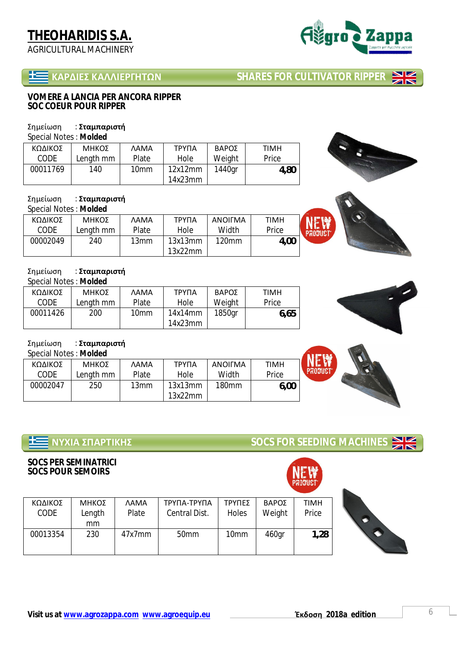# **THEOHARIDIS S.A.**

AGRICULTURAL MACHINERY

**Visit us at www.agrozappa.com www.agroequip.eu ȶʃɷʉʍɻ 2018a edition** 6

 **ȾȰɆȴȻȵɇȾȰȿȿȻȵɆȳȸɈɏɁ SHARES FOR CULTIVATOR RIPPER NIZ** 

#### **VOMERE A LANCIA PER ANCORA RIPPER SOC COEUR POUR RIPPER**

### Σημείωση : Σταμπαριστή

Special Notes : **Molded**

| ΚΩΔΙΚΟΣ  | ΜΗΚΟΣ     | <b>AAMA</b>      | ΤΡΥΠΑ   | <b>BAPOZ</b> | <b>TIMH</b> |
|----------|-----------|------------------|---------|--------------|-------------|
| CODE     | Length mm | Plate            | Hole    | Weight       | Price       |
| 00011769 | 140       | 10 <sub>mm</sub> | 12x12mm | 1440gr       | 4,80        |
|          |           |                  | 14x23mm |              |             |

### Σημείωση : Σταμπαριστή

| Special Notes: Molded |           |             |         |                |             |  |
|-----------------------|-----------|-------------|---------|----------------|-------------|--|
| ΚΩΔΙΚΟΣ               | ΜΗΚΟΣ     | <b>AAMA</b> | ΤΡΥΠΑ   | <b>ANOIFMA</b> | <b>TIMH</b> |  |
| CODE                  | Length mm | Plate       | Hole    | Width          | Price       |  |
| 00002049              | 240       | 13mm        | 13x13mm | 120mm          | 4,00        |  |
|                       |           |             | 13x22mm |                |             |  |

### Σημείωση : Σταμπαριστή

Special Notes : **Molded**

| ΚΩΔΙΚΟΣ  | ΜΗΚΟΣ     | <b>AAMA</b> | ΤΡΥΠΑ   | <b>BAPOZ</b> | <b>TIMH</b> |
|----------|-----------|-------------|---------|--------------|-------------|
| CODE     | Length mm | Plate       | Hole    | Weight       | Price       |
| 00011426 | 200       | 10mm        | 14x14mm | 1850gr       | 6,65        |
|          |           |             | 14x23mm |              |             |

### Σημείωση : Σταμπαριστή

Special Notes : **Molded**

| ΚΩΔΙΚΟΣ  | ΜΗΚΟΣ     | <b>AAMA</b>  | ΤΡΥΠΑ   | <b>ANOIFMA</b>    | TIMH  |
|----------|-----------|--------------|---------|-------------------|-------|
| CODE     | Length mm | <b>Plate</b> | Hole    | Width             | Price |
| 00002047 | 250       | 13mm         | 13x13mm | 180 <sub>mm</sub> | 6,00  |
|          |           |              | 13x22mm |                   |       |

ΤΡΥΠΑ Central Dist.

## **ɁɉɍȻȰɇɅȰɆɈȻȾȸɇ SOCS FOR SEEDING MACHINES**

ΜΗΚΟΣ Length mm

ΛΑΜΑ Plate

### **SOCS PER SEMINATRICI SOCS POUR SEMOIRS**

ΚΩΔΙΚΟΣ CODE





**NZ** ZN





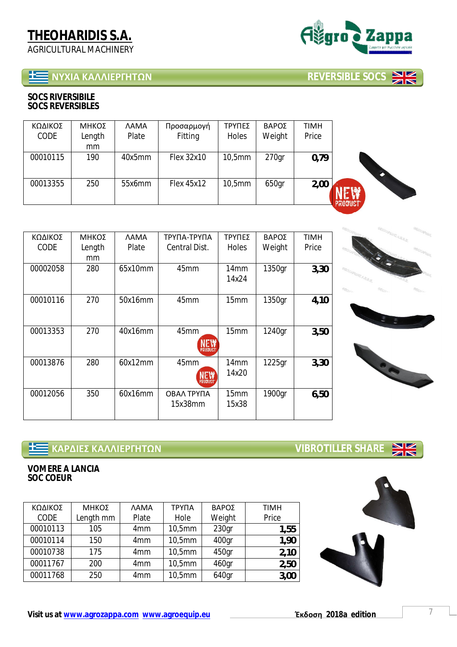# **ɁɉɍȻȰȾȰȿȿȻȵɆȳȸɈɏɁ REVERSIBLE SOCS**

**Visit us at www.agrozappa.com www.agroequip.eu ȶʃɷʉʍɻ 2018a edition** 7

| <b>SOCS RIVERSIBILE</b> |
|-------------------------|
| <b>SOCS REVERSIBLES</b> |

| ΚΩΔΙΚΟΣ<br><b>CODE</b> | ΜΗΚΟΣ<br>Length<br>mm | <b><i>NAMA</i></b><br>Plate | Προσαρμογή<br>Fitting | ΤΡΥΠΕΣ<br>Holes | ΒΑΡΟΣ<br>Weight   | <b>TIMH</b><br>Price |                |
|------------------------|-----------------------|-----------------------------|-----------------------|-----------------|-------------------|----------------------|----------------|
| 00010115               | 190                   | 40x5mm                      | Flex 32x10            | 10,5mm          | 270 <sub>gr</sub> | 0,79                 |                |
| 00013355               | 250                   | 55x6mm                      | Flex 45x12            | 10,5mm          | 650gr             | 2,00                 | <b>PRODUCT</b> |

| ΚΩΔΙΚΟΣ<br>CODE | ΜΗΚΟΣ<br>Length<br>mm | <b>AAMA</b><br>Plate | ΤΡΥΠΑ-ΤΡΥΠΑ<br>Central Dist.  | ΤΡΥΠΕΣ<br>Holes           | ΒΑΡΟΣ<br>Weight | <b>TIMH</b><br>Price |
|-----------------|-----------------------|----------------------|-------------------------------|---------------------------|-----------------|----------------------|
| 00002058        | 280                   | 65x10mm              | 45mm                          | 14 <sub>mm</sub><br>14x24 | 1350gr          | 3,30                 |
| 00010116        | 270                   | 50x16mm              | 45 <sub>mm</sub>              | 15mm                      | 1350gr          | 4,10                 |
| 00013353        | 270                   | 40x16mm              | 45mm<br>NEW<br><b>PRODUC</b>  | 15mm                      | 1240gr          | 3,50                 |
| 00013876        | 280                   | 60x12mm              | 45mm<br><b>NEW</b><br>PRODUCT | 14mm<br>14x20             | 1225gr          | 3,30                 |
| 00012056        | 350                   | 60x16mm              | ΟΒΑΛ ΤΡΥΠΑ<br>15x38mm         | 15mm<br>15x38             | 1900gr          | 6,50                 |

# **<u>1 ΚΑΡΔΙΕΣ ΚΑΛΛΙΕΡΓΗΤΩΝ</u><br></u>**

**VOMERE A LANCIA SOC COEUR** 

| ΚΩΔΙΚΟΣ     | ΜΗΚΟΣ     | <b>AAMA</b>     | ΤΡΥΠΑ  | ΒΑΡΟΣ             | <b>TIMH</b> |
|-------------|-----------|-----------------|--------|-------------------|-------------|
| <b>CODE</b> | Length mm | Plate           | Hole   | Weight            | Price       |
| 00010113    | 105       | 4 <sub>mm</sub> | 10,5mm | 230 <sub>qr</sub> | 1,55        |
| 00010114    | 150       | 4 <sub>mm</sub> | 10,5mm | 400gr             | 1,90        |
| 00010738    | 175       | 4 <sub>mm</sub> | 10,5mm | 450gr             | 2,10        |
| 00011767    | 200       | 4 <sub>mm</sub> | 10,5mm | 460gr             | 2,50        |
| 00011768    | 250       | 4 <sub>mm</sub> | 10,5mm | 640gr             | 3,00        |





 $\frac{N}{N}$ 









ZIN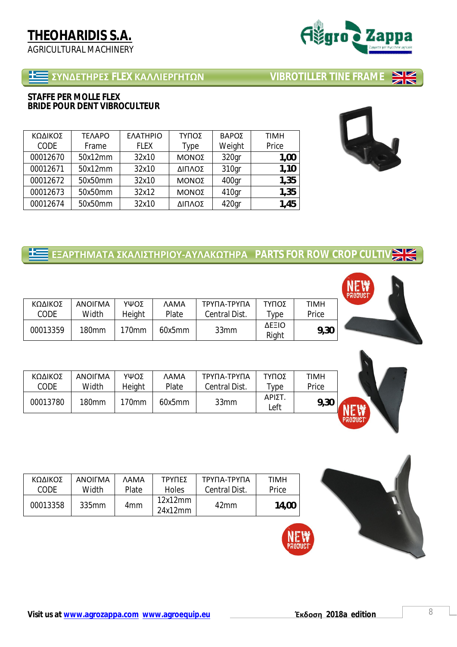| STAFFE PER MOLLE FLEX        |  |
|------------------------------|--|
| BRIDE POUR DENT VIBROCULTEUR |  |

| ΚΩΔΙΚΟΣ  | <b>TEAAPO</b> | ΕΛΑΤΗΡΙΟ    | ΤΥΠΟΣ  | ΒΑΡΟΣ  | <b>TIMH</b> |
|----------|---------------|-------------|--------|--------|-------------|
| CODE     | Frame         | <b>FLEX</b> | Type   | Weight | Price       |
| 00012670 | 50x12mm       | 32x10       | ΜΟΝΟΣ  | 320qr  | 1,00        |
| 00012671 | 50x12mm       | 32x10       | ΔΙΠΛΟΣ | 310gr  | 1,10        |
| 00012672 | 50x50mm       | 32x10       | ΜΟΝΟΣ  | 400gr  | 1,35        |
| 00012673 | 50x50mm       | 32x12       | ΜΟΝΟΣ  | 410gr  | 1,35        |
| 00012674 | 50x50mm       | 32x10       | ΔΙΠΛΟΣ | 420gr  | 1,45        |

# **E EΞΑΡΤΗΜΑΤΑ ΣΚΑΛΙΣΤΗΡΙΟΥ-ΑΥΛΑΚΩΤΗΡΑ** PARTS FOR ROW CROP CULTIV

| ΚΩΔΙΚΟΣ  | <b>ANOIFMA</b>    | ΥΨΟΣ     | <b>AAMA</b> | ΤΡΥΠΑ-ΤΡΥΠΑ   | ΤΥΠΟΣ          | <b>TIMH</b> |
|----------|-------------------|----------|-------------|---------------|----------------|-------------|
| CODE     | Width             | Height   | Plate       | Central Dist. | vpe            | Price       |
| 00013359 | 180 <sub>mm</sub> | $170$ mm | 60x5mm      | 33mm          | ΔΕΞΙΟ<br>Right | 9,30        |

| ΚΩΔΙΚΟΣ  | <b>ANOIFMA</b> | ΥΨΟΣ   | <b>AAMA</b>  | ΤΡΥΠΑ-ΤΡΥΠΑ   | ΤΥΠΟΣ          | TIMH  |
|----------|----------------|--------|--------------|---------------|----------------|-------|
| CODE     | Width          | Height | <b>Plate</b> | Central Dist. | <b>vpe</b>     | Price |
| 00013780 | 180mm          | 170mm  | 60x5mm       | 33mm          | ΑΡΙΣΤ.<br>Left | 9,30  |

| ΚΩΔΙΚΟΣ  | ANOIFMA           | <b>AMA</b>   | ΤΡΥΠΕΣ             | ΤΡΥΠΑ-ΤΡΥΠΑ      | <b>TIMH</b> |
|----------|-------------------|--------------|--------------------|------------------|-------------|
| CODE     | Width             | <b>Plate</b> | Holes              | Central Dist.    | Price       |
| 00013358 | 335 <sub>mm</sub> | 4mm          | 12x12mm<br>24x12mm | 42 <sub>mm</sub> | 14,00       |